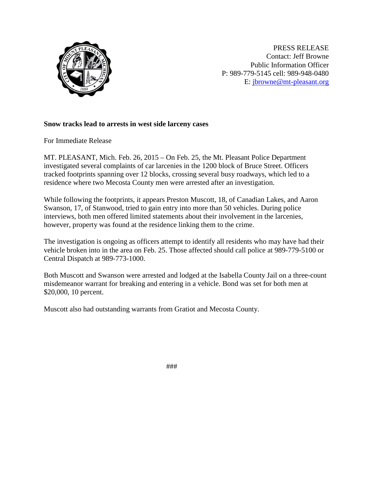

PRESS RELEASE Contact: Jeff Browne Public Information Officer P: 989-779-5145 cell: 989-948-0480 E: [jbrowne@mt-pleasant.org](mailto:jbrowne@mt-pleasant.org)

## **Snow tracks lead to arrests in west side larceny cases**

For Immediate Release

MT. PLEASANT, Mich. Feb. 26, 2015 – On Feb. 25, the Mt. Pleasant Police Department investigated several complaints of car larcenies in the 1200 block of Bruce Street. Officers tracked footprints spanning over 12 blocks, crossing several busy roadways, which led to a residence where two Mecosta County men were arrested after an investigation.

While following the footprints, it appears Preston Muscott, 18, of Canadian Lakes, and Aaron Swanson, 17, of Stanwood, tried to gain entry into more than 50 vehicles. During police interviews, both men offered limited statements about their involvement in the larcenies, however, property was found at the residence linking them to the crime.

The investigation is ongoing as officers attempt to identify all residents who may have had their vehicle broken into in the area on Feb. 25. Those affected should call police at 989-779-5100 or Central Dispatch at 989-773-1000.

Both Muscott and Swanson were arrested and lodged at the Isabella County Jail on a three-count misdemeanor warrant for breaking and entering in a vehicle. Bond was set for both men at \$20,000, 10 percent.

Muscott also had outstanding warrants from Gratiot and Mecosta County.

###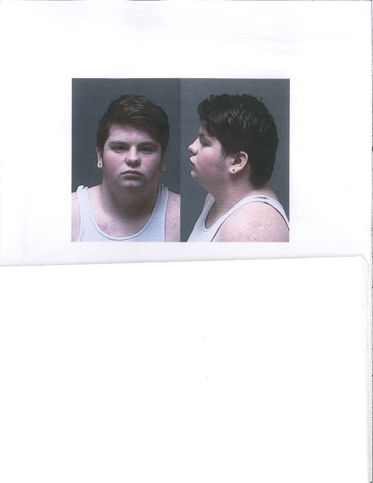